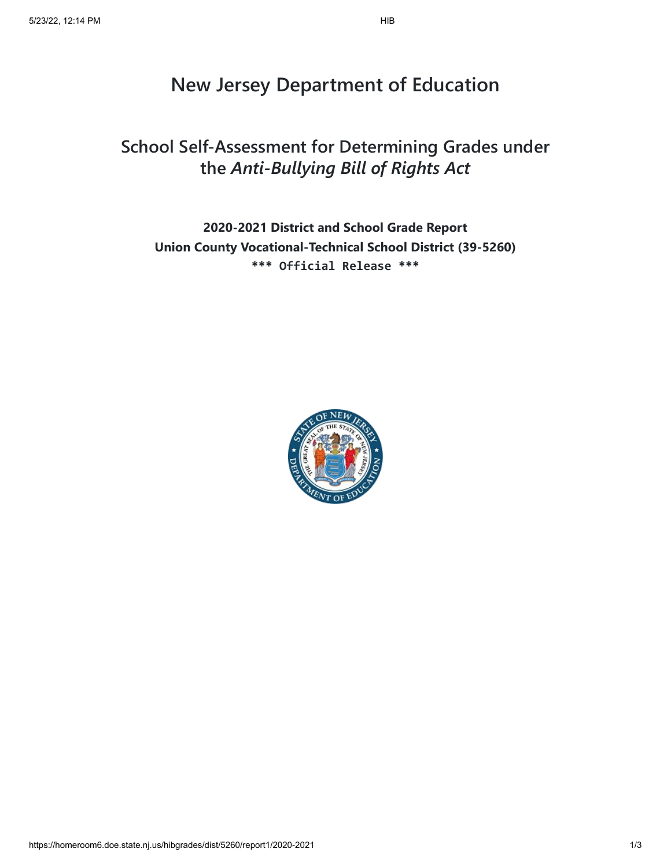# **New Jersey Department of Education**

# **School Self-Assessment for Determining Grades under the** *Anti-Bullying Bill of Rights Act*

**2020-2021 District and School Grade Report Union County Vocational-Technical School District (39-5260) \*\*\* Official Release \*\*\***

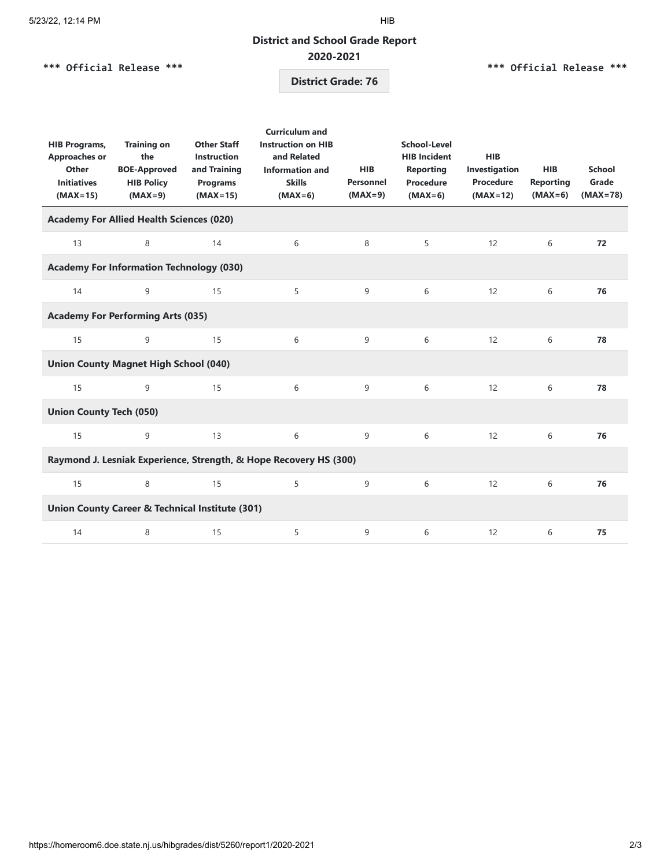# **District and School Grade Report 2020-2021**

# **\*\*\* Official Release \*\*\***

### **\*\*\* Official Release \*\*\***

# **District Grade: 76**

| <b>HIB Programs,</b><br><b>Approaches or</b><br>Other<br><b>Initiatives</b><br>$(MAX=15)$ | <b>Training on</b><br>the<br><b>BOE-Approved</b><br><b>HIB Policy</b><br>$(MAX=9)$ | <b>Other Staff</b><br><b>Instruction</b><br>and Training<br><b>Programs</b><br>$(MAX=15)$ | <b>Curriculum and</b><br><b>Instruction on HIB</b><br>and Related<br><b>Information and</b><br><b>Skills</b><br>$(MAX=6)$ | <b>HIB</b><br><b>Personnel</b><br>$(MAX=9)$ | School-Level<br><b>HIB Incident</b><br><b>Reporting</b><br><b>Procedure</b><br>$(MAX=6)$ | <b>HIB</b><br>Investigation<br><b>Procedure</b><br>$(MAX=12)$ | <b>HIB</b><br><b>Reporting</b><br>$(MAX=6)$ | School<br>Grade<br>$(MAX=78)$ |  |  |  |  |
|-------------------------------------------------------------------------------------------|------------------------------------------------------------------------------------|-------------------------------------------------------------------------------------------|---------------------------------------------------------------------------------------------------------------------------|---------------------------------------------|------------------------------------------------------------------------------------------|---------------------------------------------------------------|---------------------------------------------|-------------------------------|--|--|--|--|
| <b>Academy For Allied Health Sciences (020)</b>                                           |                                                                                    |                                                                                           |                                                                                                                           |                                             |                                                                                          |                                                               |                                             |                               |  |  |  |  |
| 13                                                                                        | 8                                                                                  | 14                                                                                        | 6                                                                                                                         | 8                                           | 5                                                                                        | 12                                                            | 6                                           | 72                            |  |  |  |  |
| <b>Academy For Information Technology (030)</b>                                           |                                                                                    |                                                                                           |                                                                                                                           |                                             |                                                                                          |                                                               |                                             |                               |  |  |  |  |
| 14                                                                                        | 9                                                                                  | 15                                                                                        | 5                                                                                                                         | 9                                           | 6                                                                                        | 12                                                            | 6                                           | 76                            |  |  |  |  |
| <b>Academy For Performing Arts (035)</b>                                                  |                                                                                    |                                                                                           |                                                                                                                           |                                             |                                                                                          |                                                               |                                             |                               |  |  |  |  |
| 15                                                                                        | 9                                                                                  | 15                                                                                        | 6                                                                                                                         | 9                                           | 6                                                                                        | 12                                                            | 6                                           | 78                            |  |  |  |  |
| <b>Union County Magnet High School (040)</b>                                              |                                                                                    |                                                                                           |                                                                                                                           |                                             |                                                                                          |                                                               |                                             |                               |  |  |  |  |
| 15                                                                                        | 9                                                                                  | 15                                                                                        | 6                                                                                                                         | 9                                           | 6                                                                                        | 12                                                            | 6                                           | 78                            |  |  |  |  |
| <b>Union County Tech (050)</b>                                                            |                                                                                    |                                                                                           |                                                                                                                           |                                             |                                                                                          |                                                               |                                             |                               |  |  |  |  |
| 15                                                                                        | 9                                                                                  | 13                                                                                        | 6                                                                                                                         | 9                                           | 6                                                                                        | 12                                                            | 6                                           | 76                            |  |  |  |  |
| Raymond J. Lesniak Experience, Strength, & Hope Recovery HS (300)                         |                                                                                    |                                                                                           |                                                                                                                           |                                             |                                                                                          |                                                               |                                             |                               |  |  |  |  |
| 15                                                                                        | 8                                                                                  | 15                                                                                        | 5                                                                                                                         | 9                                           | 6                                                                                        | 12                                                            | 6                                           | 76                            |  |  |  |  |
| Union County Career & Technical Institute (301)                                           |                                                                                    |                                                                                           |                                                                                                                           |                                             |                                                                                          |                                                               |                                             |                               |  |  |  |  |
| 14                                                                                        | 8                                                                                  | 15                                                                                        | 5                                                                                                                         | 9                                           | 6                                                                                        | 12                                                            | 6                                           | 75                            |  |  |  |  |